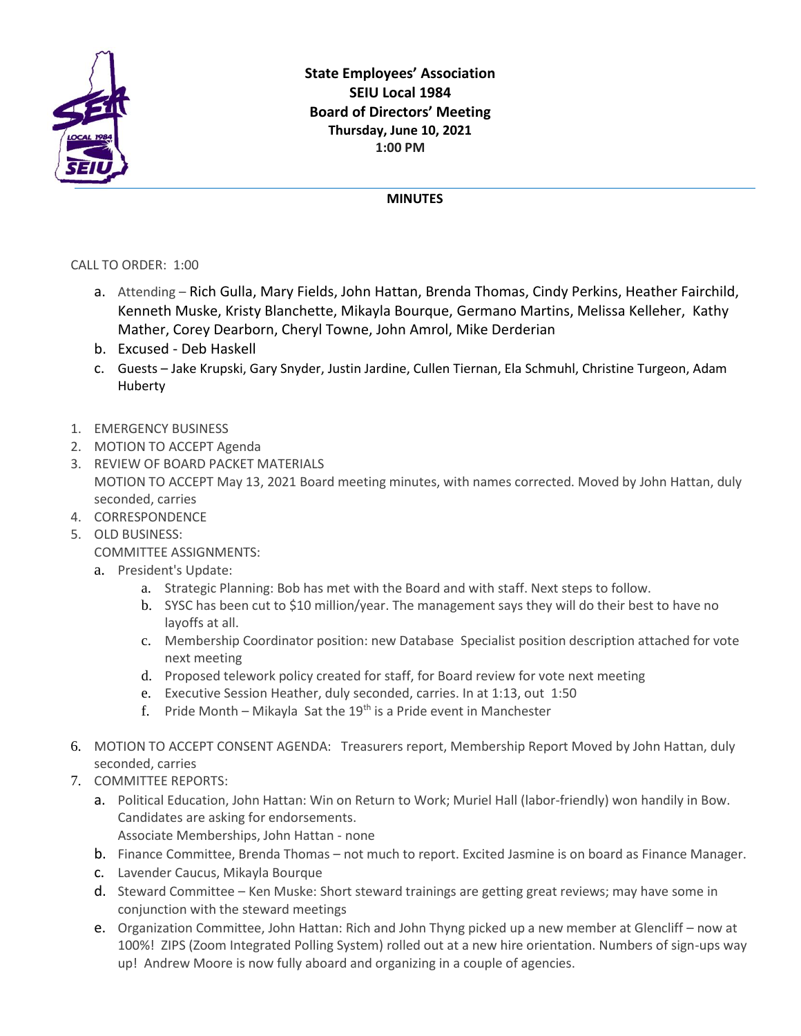

## **MINUTES**

CALL TO ORDER: 1:00

- a. Attending Rich Gulla, Mary Fields, John Hattan, Brenda Thomas, Cindy Perkins, Heather Fairchild, Kenneth Muske, Kristy Blanchette, Mikayla Bourque, Germano Martins, Melissa Kelleher, Kathy Mather, Corey Dearborn, Cheryl Towne, John Amrol, Mike Derderian
- b. Excused Deb Haskell
- c. Guests Jake Krupski, Gary Snyder, Justin Jardine, Cullen Tiernan, Ela Schmuhl, Christine Turgeon, Adam Huberty
- 1. EMERGENCY BUSINESS
- 2. MOTION TO ACCEPT Agenda
- 3. REVIEW OF BOARD PACKET MATERIALS MOTION TO ACCEPT May 13, 2021 Board meeting minutes, with names corrected. Moved by John Hattan, duly seconded, carries
- 4. CORRESPONDENCE
- 5. OLD BUSINESS:

COMMITTEE ASSIGNMENTS:

- a. President's Update:
	- a. Strategic Planning: Bob has met with the Board and with staff. Next steps to follow.
	- b. SYSC has been cut to \$10 million/year. The management says they will do their best to have no layoffs at all.
	- c. Membership Coordinator position: new Database Specialist position description attached for vote next meeting
	- d. Proposed telework policy created for staff, for Board review for vote next meeting
	- e. Executive Session Heather, duly seconded, carries. In at 1:13, out 1:50
	- f. Pride Month Mikayla Sat the  $19<sup>th</sup>$  is a Pride event in Manchester
- 6. MOTION TO ACCEPT CONSENT AGENDA: Treasurers report, Membership Report Moved by John Hattan, duly seconded, carries
- 7. COMMITTEE REPORTS:
	- a. Political Education, John Hattan: Win on Return to Work; Muriel Hall (labor-friendly) won handily in Bow. Candidates are asking for endorsements. Associate Memberships, John Hattan - none
	- b. Finance Committee, Brenda Thomas not much to report. Excited Jasmine is on board as Finance Manager.
	- c. Lavender Caucus, Mikayla Bourque
	- d. Steward Committee Ken Muske: Short steward trainings are getting great reviews; may have some in conjunction with the steward meetings
	- e. Organization Committee, John Hattan: Rich and John Thyng picked up a new member at Glencliff now at 100%! ZIPS (Zoom Integrated Polling System) rolled out at a new hire orientation. Numbers of sign-ups way up! Andrew Moore is now fully aboard and organizing in a couple of agencies.